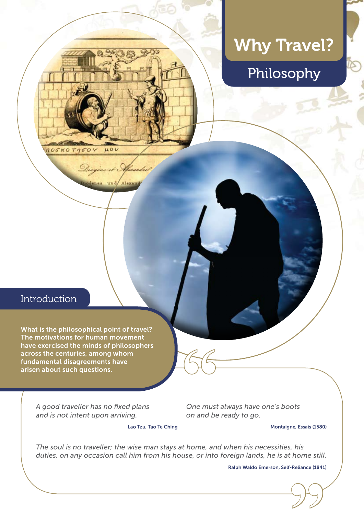# Why Travel?



# Introduction

nocko Tysov

 $\mu$ 00

Alexan

What is the philosophical point of travel? The motivations for human movement have exercised the minds of philosophers across the centuries, among whom fundamental disagreements have arisen about such questions.

> *A good traveller has no fixed plans and is not intent upon arriving.*

**"**<br>One must<br>on and be *One must always have one's boots on and be ready to go.*

Lao Tzu, Tao Te Ching

Montaigne, Essais (1580)

*The soul is no traveller; the wise man stays at home, and when his necessities, his duties, on any occasion call him from his house, or into foreign lands, he is at home still.*

Reliance (1841)<br>(<br>
<u>) | ( )</u> Ralph Waldo Emerson, Self-Reliance (1841)